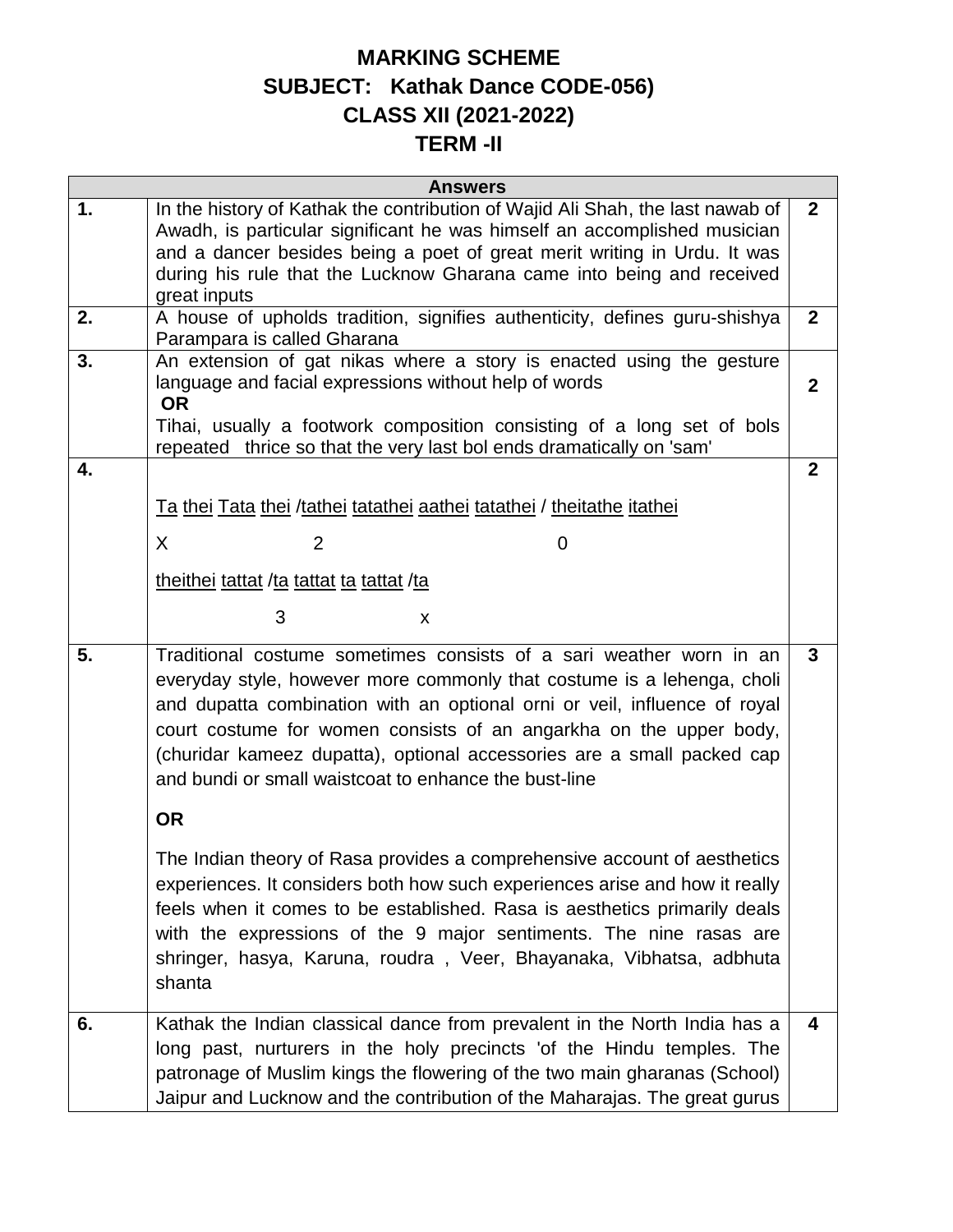## **MARKING SCHEME SUBJECT: Kathak Dance CODE-056) CLASS XII (2021-2022) TERM -II**

| <b>Answers</b> |                                                                                                                                                                                                                                                                                                                                                                                                                                     |                  |  |
|----------------|-------------------------------------------------------------------------------------------------------------------------------------------------------------------------------------------------------------------------------------------------------------------------------------------------------------------------------------------------------------------------------------------------------------------------------------|------------------|--|
| 1.             | In the history of Kathak the contribution of Wajid Ali Shah, the last nawab of<br>Awadh, is particular significant he was himself an accomplished musician<br>and a dancer besides being a poet of great merit writing in Urdu. It was<br>during his rule that the Lucknow Gharana came into being and received<br>great inputs                                                                                                     | $\mathbf{2}$     |  |
| 2.             | A house of upholds tradition, signifies authenticity, defines guru-shishya<br>Parampara is called Gharana                                                                                                                                                                                                                                                                                                                           | $\mathbf{2}$     |  |
| 3.             | An extension of gat nikas where a story is enacted using the gesture<br>language and facial expressions without help of words<br><b>OR</b><br>Tihai, usually a footwork composition consisting of a long set of bols<br>repeated thrice so that the very last bol ends dramatically on 'sam'                                                                                                                                        | $\boldsymbol{2}$ |  |
| 4.             |                                                                                                                                                                                                                                                                                                                                                                                                                                     | $\overline{2}$   |  |
|                | <u>Ta thei Tata thei /tathei tatathei aathei tatathei / theitathe itathei</u>                                                                                                                                                                                                                                                                                                                                                       |                  |  |
|                | X<br>2<br>0                                                                                                                                                                                                                                                                                                                                                                                                                         |                  |  |
|                | theithei tattat /ta tattat ta tattat /ta                                                                                                                                                                                                                                                                                                                                                                                            |                  |  |
|                | 3<br>X                                                                                                                                                                                                                                                                                                                                                                                                                              |                  |  |
|                |                                                                                                                                                                                                                                                                                                                                                                                                                                     |                  |  |
| 5.             | Traditional costume sometimes consists of a sari weather worn in an<br>everyday style, however more commonly that costume is a lehenga, choli<br>and dupatta combination with an optional orni or veil, influence of royal<br>court costume for women consists of an angarkha on the upper body,<br>(churidar kameez dupatta), optional accessories are a small packed cap<br>and bundi or small waistcoat to enhance the bust-line | $\mathbf{3}$     |  |
|                | <b>OR</b>                                                                                                                                                                                                                                                                                                                                                                                                                           |                  |  |
|                | The Indian theory of Rasa provides a comprehensive account of aesthetics<br>experiences. It considers both how such experiences arise and how it really<br>feels when it comes to be established. Rasa is aesthetics primarily deals<br>with the expressions of the 9 major sentiments. The nine rasas are<br>shringer, hasya, Karuna, roudra, Veer, Bhayanaka, Vibhatsa, adbhuta<br>shanta                                         |                  |  |
| 6.             | Kathak the Indian classical dance from prevalent in the North India has a<br>long past, nurturers in the holy precincts 'of the Hindu temples. The<br>patronage of Muslim kings the flowering of the two main gharanas (School)<br>Jaipur and Lucknow and the contribution of the Maharajas. The great gurus                                                                                                                        | 4                |  |